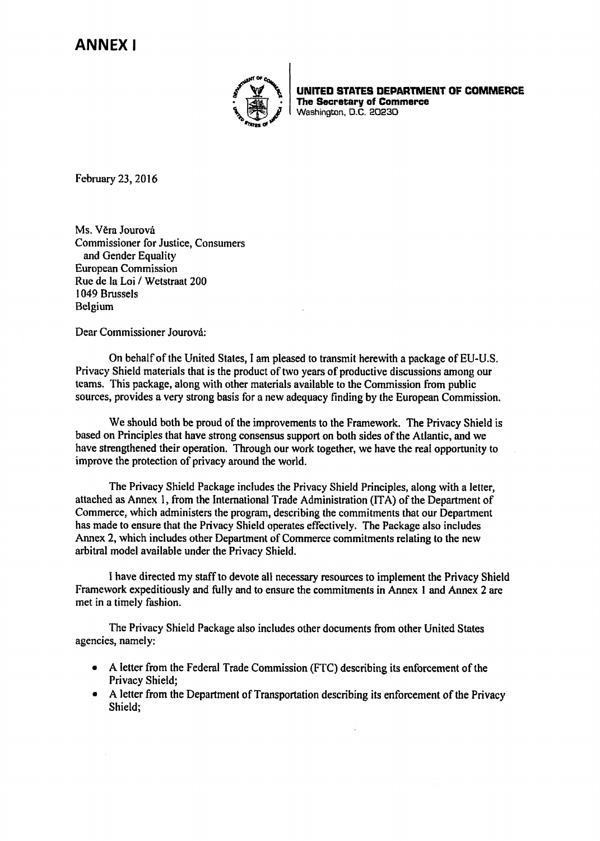# **ANNEX I**



UNITED STATES DEPARTMENT OF COMMERCE The Secretary of Commerce **Washington, D.C. 20230** 

February 23, 2016

Ms. Věra Jourová Commissioner for Justice, Consumers and Gender Equality European Commission Rue de la Loi / Wetstraat 200 1049 Brussels Belgium

Dear Commissioner Jourová:

On behalf of the United States, I am pleased to transmit herewith a package of EU-U.S. Privacy Shield materials that is the product of two years of productive discussions among our teams. This package, along with other materials available to the Commission from public sources, provides a very strong basis for a new adequacy finding by the European Commission.

We should both be proud of the improvements to the Framework. The Privacy Shield is based on Principles that have strong consensus support on both sides of the Atlantic, and we have strengthened their operation. Through our work together, we have the real opportunity to improve the protection of privacy around the world.

The Privacy Shield Package includes the Privacy Shield Principles, along with a letter, attached as Annex 1, from the International Trade Administration (ITA) of the Department of Commerce, which administers the program, describing the commitments that our Department has made to ensure that the Privacy Shield operates effectively. The Package also includes Annex 2, which includes other Department of Commerce commitments relating to the new arbitral model available under the Privacy Shield.

I have directed my staff to devote all necessary resources to implement the Privacy Shield Framework expeditiously and fully and to ensure the commitments in Annex 1 and Annex 2 are met in a timely fashion.

The Privacy Shield Package also includes other documents from other United States agencies, namely:

- A letter from the Federal Trade Commission (FTC) describing its enforcement of the Privacy Shield;
- A letter from the Department of Transportation describing its enforcement of the Privacy Shield;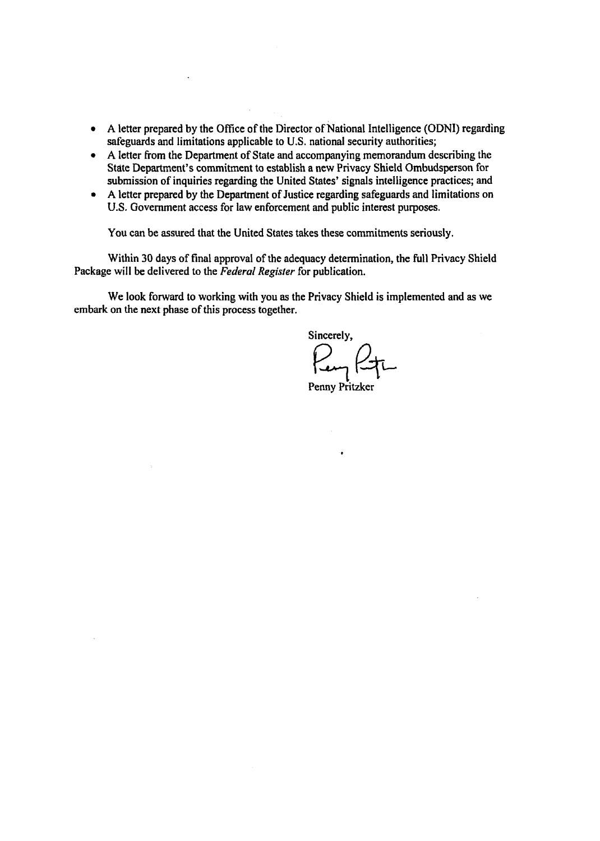- A letter prepared by the Office of the Director of National Intelligence (ODNI) regarding safeguards and limitations applicable to U.S. national security authorities;
- A letter from the Department of State and accompanying memorandum describing the State Department's commitment to establish a new Privacy Shield Ombudsperson for submission of inquiries regarding the United States' signals intelligence practices; and
- A letter prepared by the Department of Justice regarding safeguards and limitations on U.S. Government access for law enforcement and public interest purposes.

You can be assured that the United States takes these commitments seriously.

Within 30 days of final approval of the adequacy determination, the full Privacy Shield Package will be delivered to the *Federal Regisier* for publication.

We look forward to working with you as the Privacy Shield is implemented and as we embark on the next phase of this process together.

Sincerely,

Penny Pritzker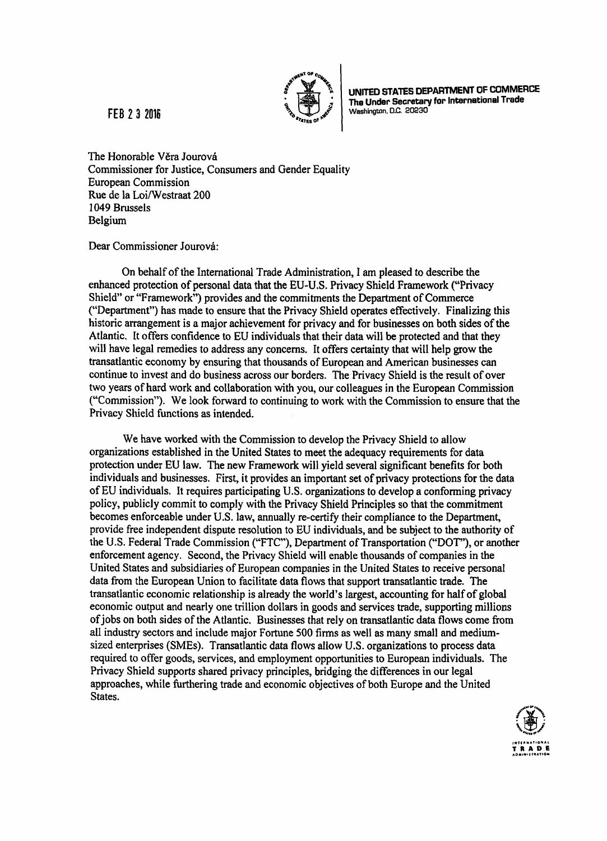

**FEB 2 3 2016** 

UNITED STATES DEPARTMENT OF COMMERCE The Under Secretary for International Trade Washington, D.C. 20230

The Honorable Věra Jourová Commissioner for Justice, Consumers and Gender Equality European Commission Rue de la Loi/Westraat 200 1049 Brussels Belgium

Dear Commissioner Jourová:

On behalf of the International Trade Administration, I am pleased to describe the enhanced protection of personal data that the EU-U.S. Privacy Shield Framework ("Privacy Shield" or "Framework") provides and the commitments the Department of Commerce ("Department") has made to ensure that the Privacy Shield operates effectively. Finalizing this historic arrangement is a major achievement for privacy and for businesses on both sides of the Atlantic. It offers confidence to EU individuals that their data will be protected and that they will have legal remedies to address any concerns. It offers certainty that will help grow the transatlantic economy by ensuring that thousands of European and American businesses can continue to invest and do business across our borders. The Privacy Shield is the result of over two years of hard work and collaboration with you, our colleagues in the European Commission ("Commission"). We look forward to continuing to work with the Commission to ensure that the Privacy Shield functions as intended.

We have worked with the Commission to develop the Privacy Shield to allow organizations established in the United States to meet the adequacy requirements for data protection under EU law. The new Framework will yield several significant benefits for both individuals and businesses. First, it provides an important set of privacy protections for the data of EU individuals. It requires participating U.S. organizations to develop a conforming privacy policy, publicly commit to comply with the Privacy Shield Principles so that the commitment becomes enforceable under U.S. law, annually re-certify their compliance to the Department, provide free independent dispute resolution to EU individuals, and be subject to the authority of the U.S. Federal Trade Commission ("FTC"), Department of Transportation ("DOT"), or another enforcement agency. Second, the Privacy Shield will enable thousands of companies in the United States and subsidiaries of European companies in the United States to receive personal data from the European Union to facilitate data flows that support transatlantic trade. The transatlantic economic relationship is already the world's largest, accounting for half of global economic output and nearly one trillion dollars in goods and services trade, supporting millions of jobs on both sides of the Atlantic. Businesses that rely on transatlantic data flows come from all industry sectors and include major Fortune 500 firms as well as many small and mediumsized enterprises (SMEs). Transatlantic data flows allow U.S. organizations to process data required to offer goods, services, and employment opportunities to European individuals. The Privacy Shield supports shared privacy principles, bridging the differences in our legal approaches, while furthering trade and economic objectives of both Europe and the United States.

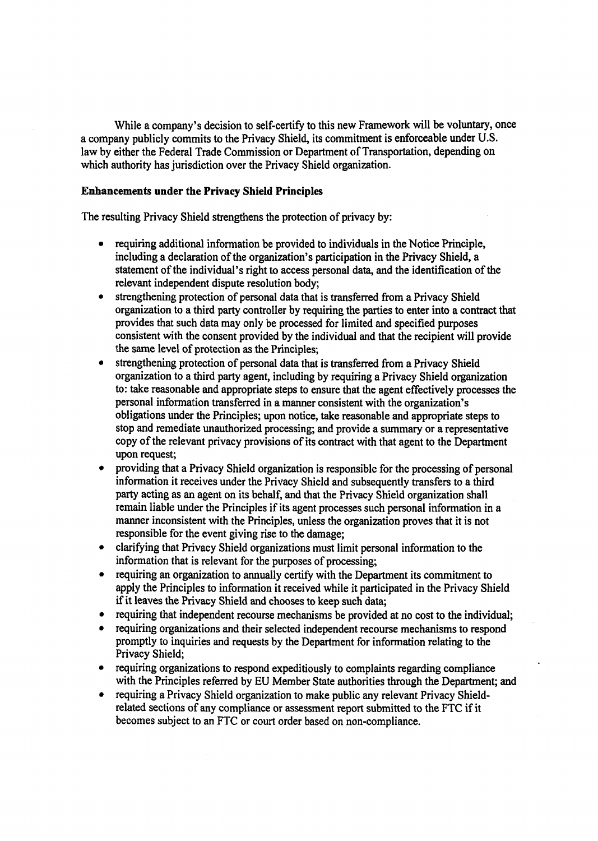While a company's decision to self-certify to this new Framework will be voluntary, once a company publicly commits to the Privacy Shield, its commitment is enforceable under U.S. law by either the Federal Trade Commission or Department of Transportation, depending on which authority has jurisdiction over the Privacy Shield organization.

# **Enhancements under the Privacy Shield Principles**

The resulting Privacy Shield strengthens the protection of privacy by:

- requiring additional information be provided to individuals in the Notice Principle, including a declaration of the organization's participation in the Privacy Shield, a statement of the individual's right to access personal data, and the identification of the relevant independent dispute resolution body;
- strengthening protection of personal data that is transferred from a Privacy Shield organization to a third party controller by requiring the parties to enter into a contract that provides that such data may only be processed for limited and specified purposes consistent with the consent provided by the individual and that the recipient will provide the same level of protection as the Principles;
- strengthening protection of personal data that is transferred from a Privacy Shield organization to a third party agent, including by requiring a Privacy Shield organization to: take reasonable and appropriate steps to ensure that the agent effectively processes the personal information transferred in a manner consistent with the organization's obligations under the Principles; upon notice, take reasonable and appropriate steps to stop and remediate unauthorized processing; and provide a summary or a representative copy of the relevant privacy provisions of its contract with that agent to the Department upon request;
- providing that a Privacy Shield organization is responsible for the processing of personal information it receives under the Privacy Shield and subsequently transfers to a third party acting as an agent on its behalf, and that the Privacy Shield organization shall remain liable under the Principles if its agent processes such personal information in a manner inconsistent with the Principles, unless the organization proves that it is not responsible for the event giving rise to the damage;
- clarifying that Privacy Shield organizations must limit personal information to the information that is relevant for the purposes of processing;
- requiring an organization to annually certify with the Department its commitment to apply the Principles to information it received while it participated in the Privacy Shield if it leaves the Privacy Shield and chooses to keep such data;
- requiring that independent recourse mechanisms be provided at no cost to the individual;
- requiring organizations and their selected independent recourse mechanisms to respond promptly to inquiries and requests by the Department for information relating to the Privacy Shield;
- requiring organizations to respond expeditiously to complaints regarding compliance with the Principles referred by EU Member State authorities through the Department; and
- requiring a Privacy Shield organization to make public any relevant Privacy Shieldrelated sections of any compliance or assessment report submitted to the FTC if it becomes subject to an FTC or court order based on non-compliance.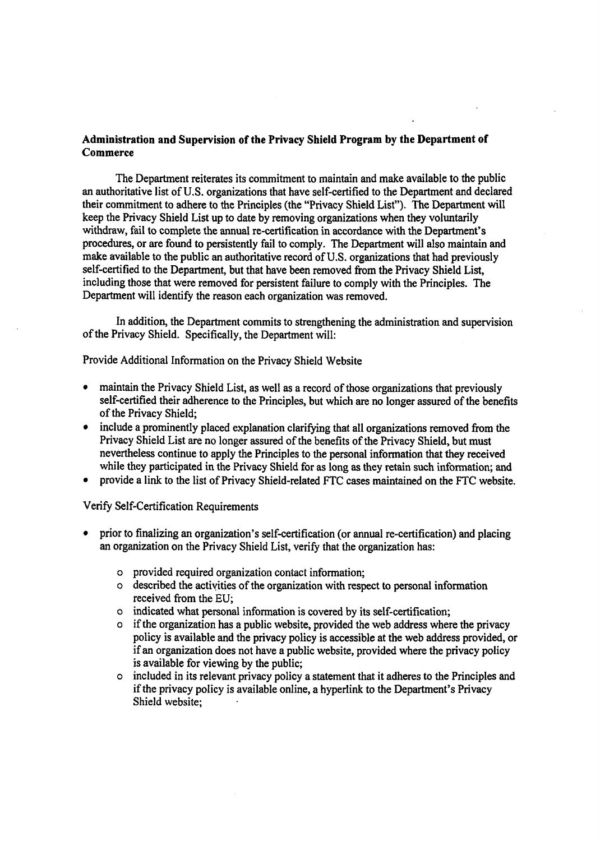# **Administration and Supervision of the Privacy Shield Program by the Department of Commerce**

The Department reiterates its commitment to maintain and make available to the public an authoritative list of U.S. organizations that have self-certified to the Department and declared their commitment to adhere to the Principles (the "Privacy Shield List"). The Department will keep the Privacy Shield List up to date by removing organizations when they voluntarily withdraw, fail to complete the annual re-certification in accordance with the Department's procedures, or are found to persistently fail to comply. The Department will also maintain and make available to the public an authoritative record of U.S. organizations that had previously self-certified to the Department, but that have been removed from the Privacy Shield List, including those that were removed for persistent failure to comply with the Principles. The Department will identify the reason each organization was removed.

In addition, the Department commits to strengthening the administration and supervision of the Privacy Shield. Specifically, the Department will:

Provide Additional Information on the Privacy Shield Website

- maintain the Privacy Shield List, as well as a record of those organizations that previously self-certified their adherence to the Principles, but which are no longer assured of the benefits of the Privacy Shield;
- include a prominently placed explanation clarifying that all organizations removed from the Privacy Shield List are no longer assured of the benefits of the Privacy Shield, but must nevertheless continue to apply the Principles to the personal information that they received while they participated in the Privacy Shield for as long as they retain such information; and
- provide a link to the list of Privacy Shield-related FTC cases maintained on the FTC website.

Verify Self-Certification Requirements

- prior to finalizing an organization's self-certification (or annual re-certification) and placing an organization on the Privacy Shield List, verify that the organization has:
	- o provided required organization contact information;
	- o described the activities of the organization with respect to personal information received from the EU;
	- o indicated what personal information is covered by its self-certification;
	- o if the organization has a public website, provided the web address where the privacy policy is available and the privacy policy is accessible at the web address provided, or if an organization does not have a public website, provided where the privacy policy is available for viewing by the public;
	- o included in its relevant privacy policy a statement that it adheres to the Principles and if the privacy policy is available online, a hyperlink to the Department's Privacy Shield website;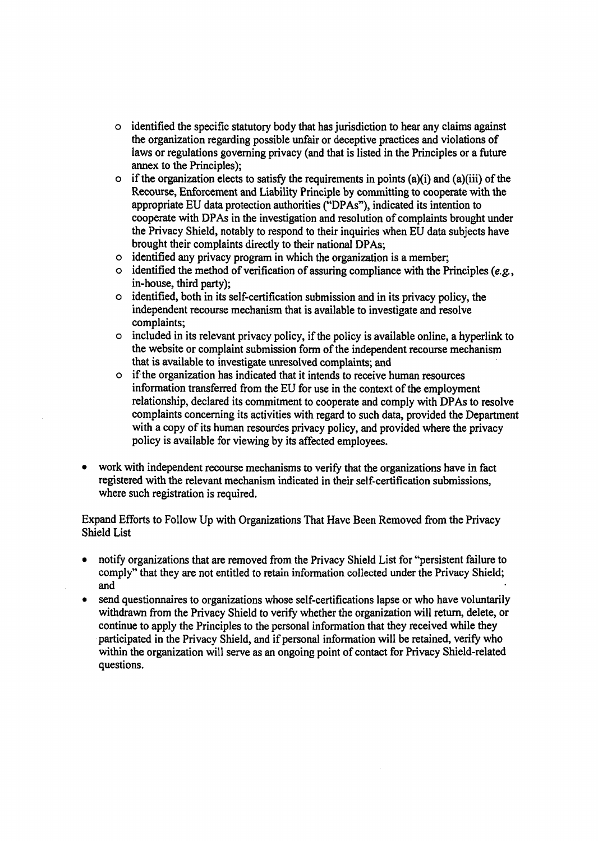- o identified the specific statutory body that has jurisdiction to hear any claims against the organization regarding possible unfair or deceptive practices and violations of laws or regulations governing privacy (and that is listed in the Principles or a future annex to the Principles);
- $\circ$  if the organization elects to satisfy the requirements in points (a)(i) and (a)(iii) of the Recourse, Enforcement and Liability Principle by committing to cooperate with the appropriate EU data protection authorities ("DPAs"), indicated its intention to cooperate with DPAs in the investigation and resolution of complaints brought under the Privacy Shield, notably to respond to their inquiries when EU data subjects have brought their complaints directly to their national DPAs;
- o identified any privacy program in which the organization is a member;
- $\circ$  identified the method of verification of assuring compliance with the Principles (e.g., in-house, third party);
- o identified, both in its self-certification submission and in its privacy policy, the independent recourse mechanism that is available to investigate and resolve complaints;
- o included in its relevant privacy policy, if the policy is available online, a hyperlink to the website or complaint submission form of the independent recourse mechanism that is available to investigate unresolved complaints; and
- o if the organization has indicated that it intends to receive human resources information transferred from the EU for use in the context of the employment relationship, declared its commitment to cooperate and comply with DPAs to resolve complaints concerning its activities with regard to such data, provided the Department with a copy of its human resources privacy policy, and provided where the privacy policy is available for viewing by its affected employees.
- work with independent recourse mechanisms to verify that the organizations have in fact registered with the relevant mechanism indicated in their self-certification submissions, where such registration is required.

# Expand Efforts to Follow Up with Organizations That Have Been Removed from the Privacy Shield List

- notify organizations that are removed from the Privacy Shield List for "persistent failure to comply" that they are not entitled to retain information collected under the Privacy Shield; and
- send questionnaires to organizations whose self-certifications lapse or who have voluntarily withdrawn from the Privacy Shield to verify whether the organization will return, delete, or continue to apply the Principles to the personal information that they received while they participated in the Privacy Shield, and if personal information will be retained, verify who within the organization will serve as an ongoing point of contact for Privacy Shield-related questions.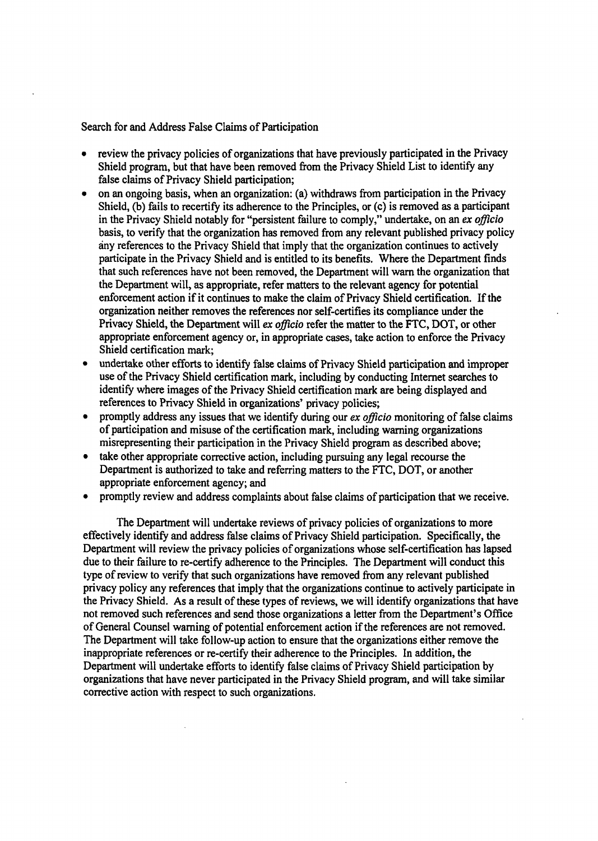Search for and Address False Claims of Participation

- review the privacy policies of organizations that have previously participated in the Privacy Shield program, but that have been removed from the Privacy Shield List to identify any false claims of Privacy Shield participation;
- on an ongoing basis, when an organization: (a) withdraws from participation in the Privacy Shield, (b) fails to recertify its adherence to the Principles, or (c) is removed as a participant in the Privacy Shield notably for "persistent failure to comply," undertake, on an *ex officio*  basis, to verify that the organization has removed from any relevant published privacy policy any references to the Privacy Shield that imply that the organization continues to actively participate in the Privacy Shield and is entitled to its benefits. Where the Department finds that such references have not been removed, the Department will warn the organization that the Department will, as appropriate, refer matters to the relevant agency for potential enforcement action if it continues to make the claim of Privacy Shield certification. If the organization neither removes the references nor self-certifies its compliance under the Privacy Shield, the Department will ex *officio* refer the matter to the FTC, DOT, or other appropriate enforcement agency or, in appropriate cases, take action to enforce the Privacy Shield certification mark;
- undertake other efforts to identify false claims of Privacy Shield participation and improper use of the Privacy Shield certification mark, including by conducting Internet searches to identify where images of the Privacy Shield certification mark are being displayed and references to Privacy Shield in organizations' privacy policies;
- promptly address any issues that we identify during our *ex officio* monitoring of false claims of participation and misuse of the certification mark, including warning organizations misrepresenting their participation in the Privacy Shield program as described above;
- take other appropriate corrective action, including pursuing any legal recourse the Department is authorized to take and referring matters to the FTC, DOT, or another appropriate enforcement agency; and
- promptly review and address complaints about false claims of participation that we receive.

The Department will undertake reviews of privacy policies of organizations to more effectively identify and address false claims of Privacy Shield participation. Specifically, the Department will review the privacy policies of organizations whose self-certification has lapsed due to their failure to re-certify adherence to the Principles. The Department will conduct this type of review to verify that such organizations have removed from any relevant published privacy policy any references that imply that the organizations continue to actively participate in the Privacy Shield. As a result of these types of reviews, we will identify organizations that have not removed such references and send those organizations a letter from the Department's Office of General Counsel warning of potential enforcement action if the references are not removed. The Department will take follow-up action to ensure that the organizations either remove the inappropriate references or re-certify their adherence to the Principles. In addition, the Department will undertake efforts to identify false claims of Privacy Shield participation by organizations that have never participated in the Privacy Shield program, and will take similar corrective action with respect to such organizations.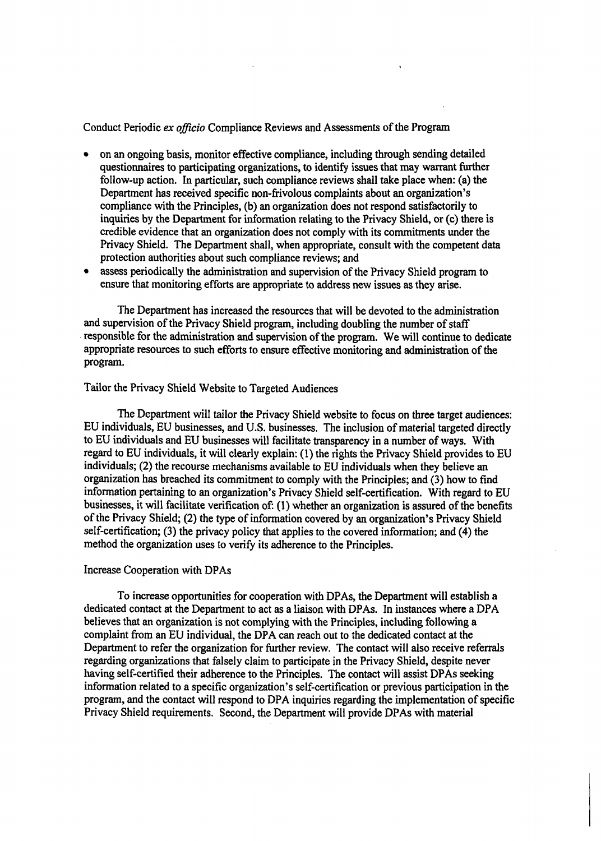Conduct Periodic *ex officio* Compliance Reviews and Assessments of the Program

- on an ongoing basis, monitor effective compliance, including through sending detailed questionnaires to participating organizations, to identify issues that may warrant further follow-up action. In particular, such compliance reviews shall take place when: (a) the Department has received specific non-frivolous complaints about an organization's compliance with the Principles, (b) an organization does not respond satisfactorily to inquiries by the Department for information relating to the Privacy Shield, or (c) there is credible evidence that an organization does not comply with its commitments under the Privacy Shield. The Department shall, when appropriate, consult with the competent data protection authorities about such compliance reviews; and
- assess periodically the administration and supervision of the Privacy Shield program to ensure that monitoring efforts are appropriate to address new issues as they arise.

The Department has increased the resources that will be devoted to the administration and supervision of the Privacy Shield program, including doubling the number of staff responsible for the administration and supervision of the program. We will continue to dedicate appropriate resources to such efforts to ensure effective monitoring and administration of the program.

# Tailor the Privacy Shield Website to Targeted Audiences

The Department will tailor the Privacy Shield website to focus on three target audiences: EU individuals, EU businesses, and U.S. businesses. The inclusion of material targeted directly to EU individuals and EU businesses will facilitate transparency in a number of ways. With regard to EU individuals, it will clearly explain: (1) the rights the Privacy Shield provides to EU individuals; (2) the recourse mechanisms available to EU individuals when they believe an organization has breached its commitment to comply with the Principles; and (3) how to find information pertaining to an organization's Privacy Shield self-certification. With regard to EU businesses, it will facilitate verification of: (1) whether an organization is assured of the benefits of the Privacy Shield; (2) the type of information covered by an organization's Privacy Shield self-certification; (3) the privacy policy that applies to the covered information; and (4) the method the organization uses to verify its adherence to the Principles.

#### Increase Cooperation with DPAs

To increase opportunities for cooperation with DPAs, the Department will establish a dedicated contact at the Department to act as a liaison with DPAs. In instances where a DPA believes that an organization is not complying with the Principles, including following a complaint from an EU individual, the DPA can reach out to the dedicated contact at the Department to refer the organization for further review. The contact will also receive referrals regarding organizations that falsely claim to participate in the Privacy Shield, despite never having self-certified their adherence to the Principles. The contact will assist DPAs seeking information related to a specific organization's self-certification or previous participation in the program, and the contact will respond to DPA inquiries regarding the implementation of specific Privacy Shield requirements. Second, the Department will provide DPAs with material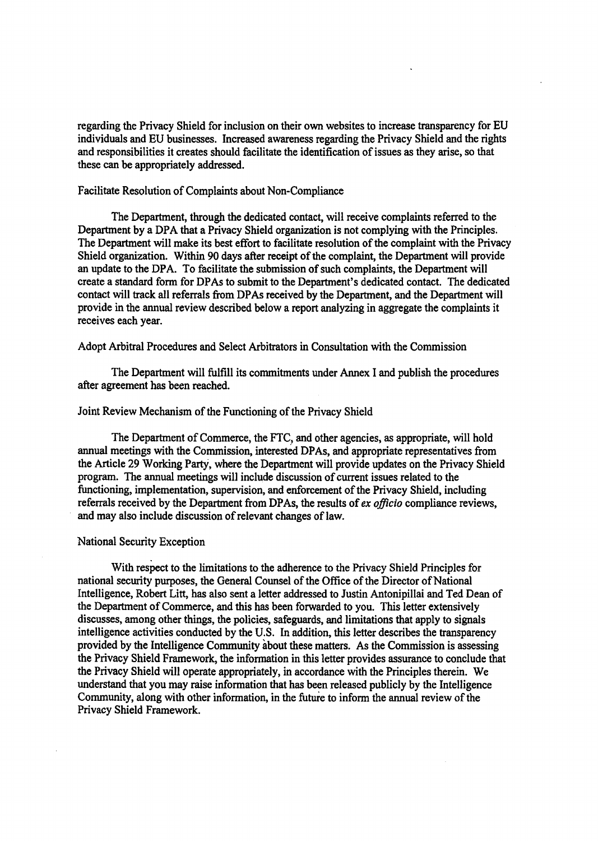regarding the Privacy Shield for inclusion on their own websites to increase transparency for EU individuals and EU businesses. Increased awareness regarding the Privacy Shield and the rights and responsibilities it creates should facilitate the identification of issues as they arise, so that these can be appropriately addressed.

#### Facilitate Resolution of Complaints about Non-Compliance

The Department, through the dedicated contact, will receive complaints referred to the Department by a DPA that a Privacy Shield organization is not complying with the Principles. The Department will make its best effort to facilitate resolution of the complaint with the Privacy Shield organization. Within 90 days after receipt of the complaint, the Department will provide an update to the DPA. To facilitate the submission of such complaints, the Department will create a standard form for DP As to submit to the Department's dedicated contact. The dedicated contact will track all referrals from DPAs received by the Department, and the Department will provide in the annual review described below a report analyzing in aggregate the complaints it receives each year.

### Adopt Arbitral Procedures and Select Arbitrators in Consultation with the Commission

The Department will fulfill its commitments under Annex I and publish the procedures after agreement has been reached.

#### Joint Review Mechanism of the Functioning of the Privacy Shield

The Department of Commerce, the FTC, and other agencies, as appropriate, will hold annual meetings with the Commission, interested DP As, and appropriate representatives from the Article 29 Working Party, where the Department will provide updates on the Privacy Shield program. The annual meetings will include discussion of current issues related to the functioning, implementation, supervision, and enforcement of the Privacy Shield, including referrals received by the Department from DP As, the results of *ex officio* compliance reviews, and may also include discussion of relevant changes of law.

#### National Security Exception

With respect to the limitations to the adherence to the Privacy Shield Principles for national security purposes, the General Counsel of the Office of the Director of National Intelligence, Robert Litt, has also sent a letter addressed to Justin Antonipillai and Ted Dean of the Department of Commerce, and this has been forwarded to you. This letter extensively discusses, among other things, the policies, safeguards, and limitations that apply to signals intelligence activities conducted by the U.S. In addition, this letter describes the transparency provided by the Intelligence Community about these matters. As the Commission is assessing the Privacy Shield Framework, the information in this letter provides assurance to conclude that the Privacy Shield will operate appropriately, in accordance with the Principles therein. We understand that you may raise information that has been released publicly by the Intelligence Community, along with other information, in the future to inform the annual review of the Privacy Shield Framework.